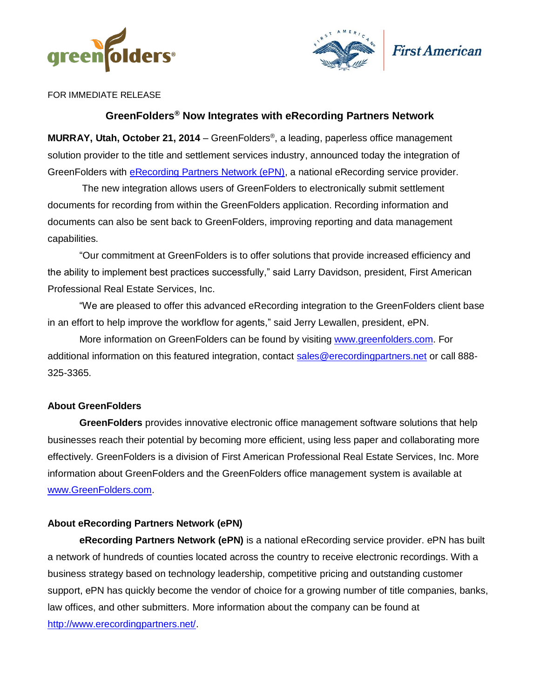



FOR IMMEDIATE RELEASE

# **GreenFolders® Now Integrates with eRecording Partners Network**

**MURRAY, Utah, October 21, 2014** – GreenFolders® , a leading, paperless office management solution provider to the title and settlement services industry, announced today the integration of GreenFolders with [eRecording Partners Network \(ePN\),](http://www.erecordingpartners.net/) a national eRecording service provider.

The new integration allows users of GreenFolders to electronically submit settlement documents for recording from within the GreenFolders application. Recording information and documents can also be sent back to GreenFolders, improving reporting and data management capabilities.

"Our commitment at GreenFolders is to offer solutions that provide increased efficiency and the ability to implement best practices successfully," said Larry Davidson, president, First American Professional Real Estate Services, Inc.

"We are pleased to offer this advanced eRecording integration to the GreenFolders client base in an effort to help improve the workflow for agents," said Jerry Lewallen, president, ePN.

More information on GreenFolders can be found by visiting [www.greenfolders.com.](http://www.greenfolders.com/) For additional information on this featured integration, contact [sales@erecordingpartners.net](mailto:sales@erecordingpartners.net) or call 888- 325-3365.

## **About GreenFolders**

**GreenFolders** provides innovative electronic office management software solutions that help businesses reach their potential by becoming more efficient, using less paper and collaborating more effectively. GreenFolders is a division of First American Professional Real Estate Services, Inc. More information about GreenFolders and the GreenFolders office management system is available at [www.GreenFolders.com.](http://www.greenfolders.com/)

## **About eRecording Partners Network (ePN)**

**eRecording Partners Network (ePN)** is a national eRecording service provider. ePN has built a network of hundreds of counties located across the country to receive electronic recordings. With a business strategy based on technology leadership, competitive pricing and outstanding customer support, ePN has quickly become the vendor of choice for a growing number of title companies, banks, law offices, and other submitters. More information about the company can be found at [http://www.erecordingpartners.net/.](http://www.erecordingpartners.net/)